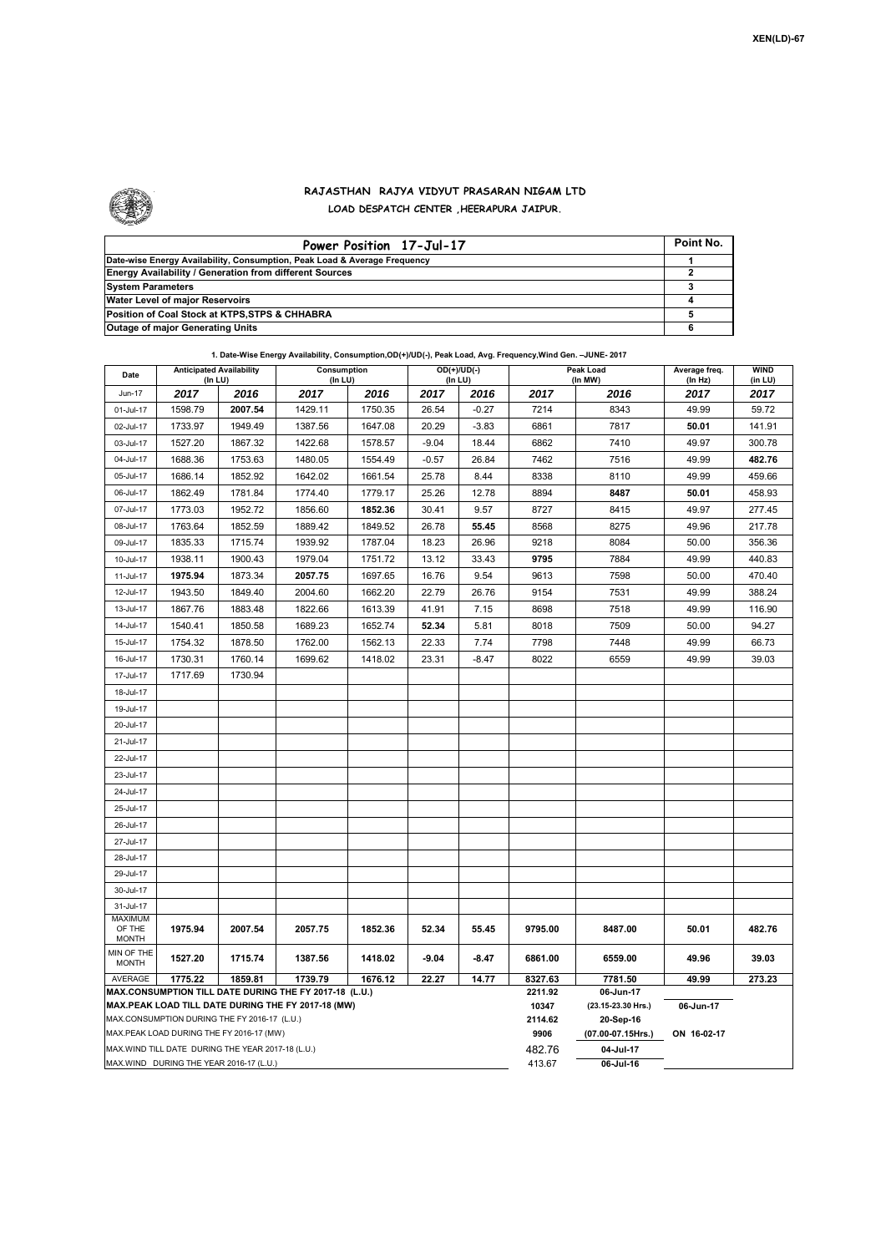

## **RAJASTHAN RAJYA VIDYUT PRASARAN NIGAM LTD LOAD DESPATCH CENTER ,HEERAPURA JAIPUR.**

| Power Position 17-Jul-17                                                  | Point No. |
|---------------------------------------------------------------------------|-----------|
| Date-wise Energy Availability, Consumption, Peak Load & Average Frequency |           |
| <b>Energy Availability / Generation from different Sources</b>            |           |
| <b>System Parameters</b>                                                  |           |
| Water Level of major Reservoirs                                           |           |
| Position of Coal Stock at KTPS, STPS & CHHABRA                            |           |
| <b>Outage of major Generating Units</b>                                   |           |

| Date                                                                                               | <b>Anticipated Availability</b><br>(In LU) |         | Consumption<br>(In LU)                                 |         | OD(+)/UD(-)<br>(In LU) |         |                  | Peak Load<br>(In MW)            | Average freq.<br>(ln Hz) | WIND<br>(in LU) |  |  |
|----------------------------------------------------------------------------------------------------|--------------------------------------------|---------|--------------------------------------------------------|---------|------------------------|---------|------------------|---------------------------------|--------------------------|-----------------|--|--|
| Jun-17                                                                                             | 2017                                       | 2016    | 2017                                                   | 2016    | 2017                   | 2016    | 2017             | 2016                            | 2017                     | 2017            |  |  |
| 01-Jul-17                                                                                          | 1598.79                                    | 2007.54 | 1429.11                                                | 1750.35 | 26.54                  | $-0.27$ | 7214             | 8343                            | 49.99                    | 59.72           |  |  |
| 02-Jul-17                                                                                          | 1733.97                                    | 1949.49 | 1387.56                                                | 1647.08 | 20.29                  | $-3.83$ | 6861             | 7817                            | 50.01                    | 141.91          |  |  |
| 03-Jul-17                                                                                          | 1527.20                                    | 1867.32 | 1422.68                                                | 1578.57 | $-9.04$                | 18.44   | 6862             | 7410                            | 49.97                    | 300.78          |  |  |
| 04-Jul-17                                                                                          | 1688.36                                    | 1753.63 | 1480.05                                                | 1554.49 | $-0.57$                | 26.84   | 7462             | 7516                            | 49.99                    | 482.76          |  |  |
| 05-Jul-17                                                                                          | 1686.14                                    | 1852.92 | 1642.02                                                | 1661.54 | 25.78                  | 8.44    | 8338             | 8110                            | 49.99                    | 459.66          |  |  |
| 06-Jul-17                                                                                          | 1862.49                                    | 1781.84 | 1774.40                                                | 1779.17 | 25.26                  | 12.78   | 8894             | 8487                            | 50.01                    | 458.93          |  |  |
| 07-Jul-17                                                                                          | 1773.03                                    | 1952.72 | 1856.60                                                | 1852.36 | 30.41                  | 9.57    | 8727             | 8415                            | 49.97                    | 277.45          |  |  |
| 08-Jul-17                                                                                          | 1763.64                                    | 1852.59 | 1889.42                                                | 1849.52 | 26.78                  | 55.45   | 8568             | 8275                            | 49.96                    | 217.78          |  |  |
| 09-Jul-17                                                                                          | 1835.33                                    | 1715.74 | 1939.92                                                | 1787.04 | 18.23                  | 26.96   | 9218             | 8084                            | 50.00                    | 356.36          |  |  |
| 10-Jul-17                                                                                          | 1938.11                                    | 1900.43 | 1979.04                                                | 1751.72 | 13.12                  | 33.43   | 9795             | 7884                            | 49.99                    | 440.83          |  |  |
| 11-Jul-17                                                                                          | 1975.94                                    | 1873.34 | 2057.75                                                | 1697.65 | 16.76                  | 9.54    | 9613             | 7598                            | 50.00                    | 470.40          |  |  |
| 12-Jul-17                                                                                          | 1943.50                                    | 1849.40 | 2004.60                                                | 1662.20 | 22.79                  | 26.76   | 9154             | 7531                            | 49.99                    | 388.24          |  |  |
| 13-Jul-17                                                                                          | 1867.76                                    | 1883.48 | 1822.66                                                | 1613.39 | 41.91                  | 7.15    | 8698             | 7518                            | 49.99                    | 116.90          |  |  |
| 14-Jul-17                                                                                          | 1540.41                                    | 1850.58 | 1689.23                                                | 1652.74 | 52.34                  | 5.81    | 8018             | 7509                            | 50.00                    | 94.27           |  |  |
| 15-Jul-17                                                                                          | 1754.32                                    | 1878.50 | 1762.00                                                | 1562.13 | 22.33                  | 7.74    | 7798             | 7448                            | 49.99                    | 66.73           |  |  |
| 16-Jul-17                                                                                          | 1730.31                                    | 1760.14 | 1699.62                                                | 1418.02 | 23.31                  | $-8.47$ | 8022             | 6559                            | 49.99                    | 39.03           |  |  |
| 17-Jul-17                                                                                          | 1717.69                                    | 1730.94 |                                                        |         |                        |         |                  |                                 |                          |                 |  |  |
| 18-Jul-17                                                                                          |                                            |         |                                                        |         |                        |         |                  |                                 |                          |                 |  |  |
| 19-Jul-17                                                                                          |                                            |         |                                                        |         |                        |         |                  |                                 |                          |                 |  |  |
| 20-Jul-17                                                                                          |                                            |         |                                                        |         |                        |         |                  |                                 |                          |                 |  |  |
| 21-Jul-17                                                                                          |                                            |         |                                                        |         |                        |         |                  |                                 |                          |                 |  |  |
| 22-Jul-17                                                                                          |                                            |         |                                                        |         |                        |         |                  |                                 |                          |                 |  |  |
| 23-Jul-17                                                                                          |                                            |         |                                                        |         |                        |         |                  |                                 |                          |                 |  |  |
| 24-Jul-17                                                                                          |                                            |         |                                                        |         |                        |         |                  |                                 |                          |                 |  |  |
| 25-Jul-17                                                                                          |                                            |         |                                                        |         |                        |         |                  |                                 |                          |                 |  |  |
| 26-Jul-17                                                                                          |                                            |         |                                                        |         |                        |         |                  |                                 |                          |                 |  |  |
| 27-Jul-17                                                                                          |                                            |         |                                                        |         |                        |         |                  |                                 |                          |                 |  |  |
| 28-Jul-17                                                                                          |                                            |         |                                                        |         |                        |         |                  |                                 |                          |                 |  |  |
| 29-Jul-17                                                                                          |                                            |         |                                                        |         |                        |         |                  |                                 |                          |                 |  |  |
| 30-Jul-17                                                                                          |                                            |         |                                                        |         |                        |         |                  |                                 |                          |                 |  |  |
| 31-Jul-17                                                                                          |                                            |         |                                                        |         |                        |         |                  |                                 |                          |                 |  |  |
| <b>MAXIMUM</b><br>OF THE                                                                           | 1975.94                                    | 2007.54 | 2057.75                                                | 1852.36 | 52.34                  | 55.45   | 9795.00          | 8487.00                         | 50.01                    | 482.76          |  |  |
| <b>MONTH</b>                                                                                       |                                            |         |                                                        |         |                        |         |                  |                                 |                          |                 |  |  |
| MIN OF THE<br><b>MONTH</b>                                                                         | 1527.20                                    | 1715.74 | 1387.56                                                | 1418.02 | $-9.04$                | $-8.47$ | 6861.00          | 6559.00                         | 49.96                    | 39.03           |  |  |
| AVERAGE                                                                                            | 1775.22                                    | 1859.81 | 1739.79                                                | 1676.12 | 22.27                  | 14.77   | 8327.63          | 7781.50                         | 49.99                    | 273.23          |  |  |
|                                                                                                    |                                            |         | MAX.CONSUMPTION TILL DATE DURING THE FY 2017-18 (L.U.) |         |                        |         | 2211.92<br>10347 | 06-Jun-17                       | 06-Jun-17                |                 |  |  |
| MAX.PEAK LOAD TILL DATE DURING THE FY 2017-18 (MW)<br>MAX.CONSUMPTION DURING THE FY 2016-17 (L.U.) |                                            |         |                                                        |         |                        |         |                  | (23.15-23.30 Hrs.)<br>20-Sep-16 |                          |                 |  |  |
|                                                                                                    | MAX.PEAK LOAD DURING THE FY 2016-17 (MW)   |         |                                                        |         |                        |         | 2114.62<br>9906  | (07.00-07.15Hrs.)               | ON 16-02-17              |                 |  |  |
| MAX. WIND TILL DATE DURING THE YEAR 2017-18 (L.U.)                                                 |                                            |         |                                                        |         |                        |         |                  | 04-Jul-17                       |                          |                 |  |  |
|                                                                                                    | MAX.WIND DURING THE YEAR 2016-17 (L.U.)    |         |                                                        |         |                        |         | 482.76<br>413.67 | 06-Jul-16                       |                          |                 |  |  |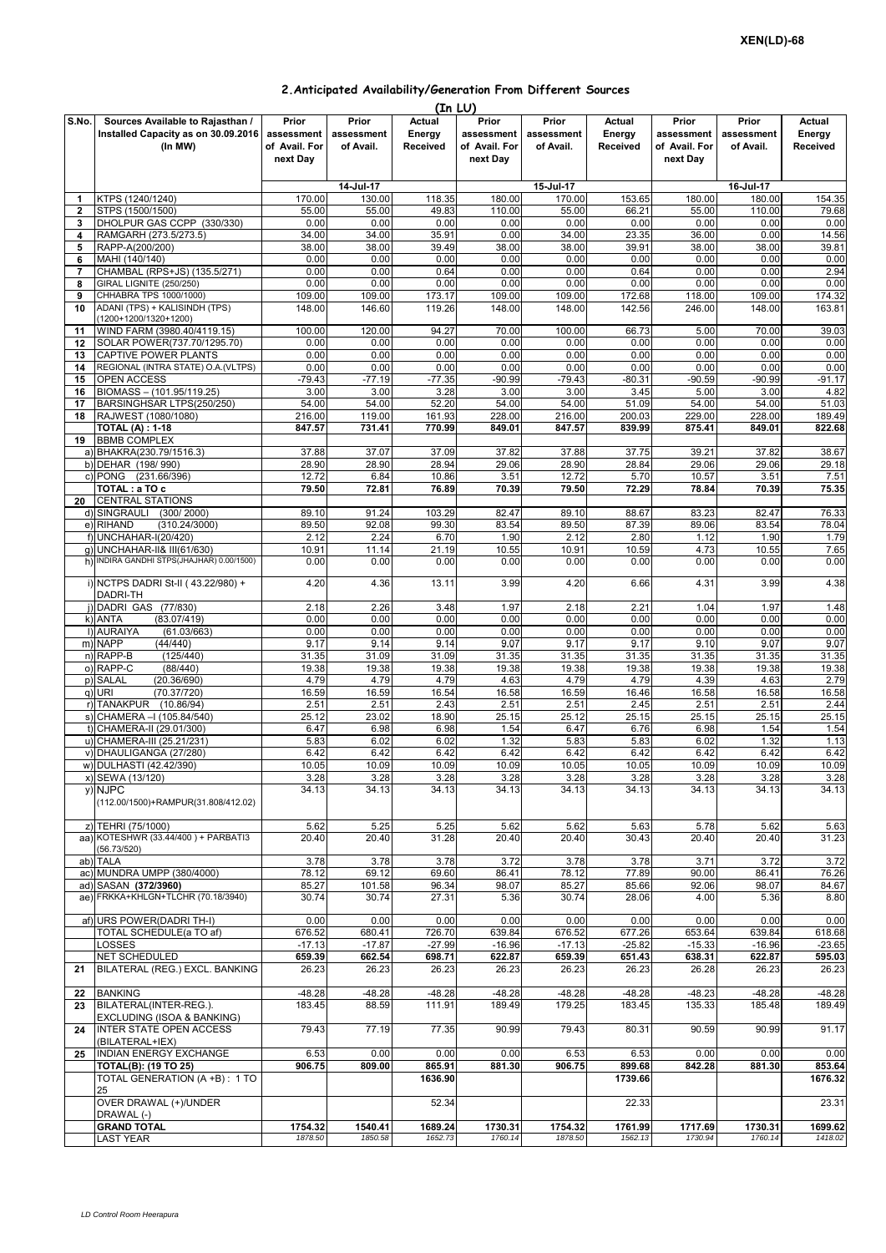## **2.Anticipated Availability/Generation From Different Sources**

|                |                                                                                     |                                                  |                                  |                                     | (In LU)                                          |                                  |                                     |                                                  |                                  |                              |
|----------------|-------------------------------------------------------------------------------------|--------------------------------------------------|----------------------------------|-------------------------------------|--------------------------------------------------|----------------------------------|-------------------------------------|--------------------------------------------------|----------------------------------|------------------------------|
| S.No.          | Sources Available to Rajasthan /<br>Installed Capacity as on 30.09.2016<br>(In M W) | Prior<br>assessment<br>of Avail. For<br>next Day | Prior<br>assessment<br>of Avail. | <b>Actual</b><br>Energy<br>Received | Prior<br>assessment<br>of Avail. For<br>next Day | Prior<br>assessment<br>of Avail. | Actual<br>Energy<br><b>Received</b> | Prior<br>assessment<br>of Avail. For<br>next Day | Prior<br>assessment<br>of Avail. | Actual<br>Energy<br>Received |
|                |                                                                                     |                                                  | 14-Jul-17                        |                                     |                                                  | 15-Jul-17                        |                                     |                                                  | 16-Jul-17                        |                              |
| 1              | KTPS (1240/1240)                                                                    | 170.00                                           | 130.00                           | 118.35                              | 180.00                                           | 170.00                           | 153.65                              | 180.00                                           | 180.00                           | 154.35                       |
| $\mathbf{2}$   | STPS (1500/1500)                                                                    | 55.00                                            | 55.00                            | 49.83                               | 110.00                                           | 55.00                            | 66.21                               | 55.00                                            | 110.00                           | 79.68                        |
| 3              | DHOLPUR GAS CCPP (330/330)                                                          | 0.00                                             | 0.00                             | 0.00                                | 0.00                                             | 0.00                             | 0.00                                | 0.00                                             | 0.00                             | 0.00                         |
| 4              | RAMGARH (273.5/273.5)                                                               | 34.00                                            | 34.00                            | 35.91                               | 0.00                                             | 34.00                            | 23.35                               | 36.00                                            | 0.00                             | 14.56                        |
| 5<br>6         | RAPP-A(200/200)<br>MAHI (140/140)                                                   | 38.00<br>0.00                                    | 38.00<br>0.00                    | 39.49<br>0.00                       | 38.00<br>0.00                                    | 38.00<br>0.00                    | 39.91<br>0.00                       | 38.00<br>0.00                                    | 38.00<br>0.00                    | 39.81<br>0.00                |
| $\overline{7}$ | CHAMBAL (RPS+JS) (135.5/271)                                                        | 0.00                                             | 0.00                             | 0.64                                | 0.00                                             | 0.00                             | 0.64                                | 0.00                                             | 0.00                             | 2.94                         |
| 8              | GIRAL LIGNITE (250/250)                                                             | 0.00                                             | 0.00                             | 0.00                                | 0.00                                             | 0.00                             | 0.00                                | 0.00                                             | 0.00                             | 0.00                         |
| 9              | CHHABRA TPS 1000/1000)                                                              | 109.00                                           | 109.00                           | 173.17                              | 109.00                                           | 109.00                           | 172.68                              | 118.00                                           | 109.00                           | 174.32                       |
| 10             | ADANI (TPS) + KALISINDH (TPS)<br>(1200+1200/1320+1200)                              | 148.00                                           | 146.60                           | 119.26                              | 148.00                                           | 148.00                           | 142.56                              | 246.00                                           | 148.00                           | 163.81                       |
| 11<br>12       | WIND FARM (3980.40/4119.15)<br>SOLAR POWER(737.70/1295.70)                          | 100.00<br>0.00                                   | 120.00<br>0.00                   | 94.27<br>0.00                       | 70.00<br>0.00                                    | 100.00<br>0.00                   | 66.73<br>0.00                       | 5.00<br>0.00                                     | 70.00<br>0.00                    | 39.03<br>0.00                |
| 13             | <b>CAPTIVE POWER PLANTS</b>                                                         | 0.00                                             | 0.00                             | 0.00                                | 0.00                                             | 0.00                             | 0.00                                | 0.00                                             | 0.00                             | 0.00                         |
| 14             | REGIONAL (INTRA STATE) O.A.(VLTPS)                                                  | 0.00                                             | 0.00                             | 0.00                                | 0.00                                             | 0.00                             | 0.00                                | 0.00                                             | 0.00                             | 0.00                         |
| 15             | OPEN ACCESS                                                                         | $-79.43$                                         | $-77.19$                         | $-77.35$                            | $-90.99$                                         | $-79.43$                         | $-80.31$                            | $-90.59$                                         | $-90.99$                         | $-91.17$                     |
| 16<br>17       | BIOMASS - (101.95/119.25)<br>BARSINGHSAR LTPS(250/250)                              | 3.00<br>54.00                                    | 3.00<br>54.00                    | 3.28<br>52.20                       | 3.00<br>54.00                                    | 3.00<br>54.00                    | 3.45<br>51.09                       | 5.00<br>54.00                                    | 3.00<br>54.00                    | 4.82<br>51.03                |
| 18             | RAJWEST (1080/1080)                                                                 | 216.00                                           | 119.00                           | 161.93                              | 228.00                                           | 216.00                           | 200.03                              | 229.00                                           | 228.00                           | 189.49                       |
|                | <b>TOTAL (A): 1-18</b>                                                              | 847.57                                           | 731.41                           | 770.99                              | 849.01                                           | 847.57                           | 839.99                              | 875.41                                           | 849.01                           | 822.68                       |
| 19             | <b>BBMB COMPLEX</b>                                                                 |                                                  |                                  |                                     |                                                  |                                  |                                     |                                                  |                                  |                              |
|                | a) BHAKRA(230.79/1516.3)                                                            | 37.88                                            | 37.07                            | 37.09                               | 37.82                                            | 37.88                            | 37.75                               | 39.21                                            | 37.82                            | 38.67                        |
|                | b) DEHAR (198/990)                                                                  | 28.90                                            | 28.90                            | 28.94                               | 29.06                                            | 28.90                            | 28.84                               | 29.06                                            | 29.06                            | 29.18                        |
|                | c) PONG (231.66/396)<br>TOTAL : a TO c                                              | 12.72<br>79.50                                   | 6.84<br>72.81                    | 10.86<br>76.89                      | 3.51<br>70.39                                    | 12.72<br>79.50                   | 5.70<br>72.29                       | 10.57<br>78.84                                   | 3.51<br>70.39                    | 7.51<br>75.35                |
| 20             | <b>CENTRAL STATIONS</b>                                                             |                                                  |                                  |                                     |                                                  |                                  |                                     |                                                  |                                  |                              |
|                | d) SINGRAULI<br>(300/2000)                                                          | 89.10                                            | 91.24                            | 103.29                              | 82.47                                            | 89.10                            | 88.67                               | 83.23                                            | 82.47                            | 76.33                        |
|                | e) RIHAND<br>(310.24/3000)                                                          | 89.50                                            | 92.08                            | 99.30                               | 83.54                                            | 89.50                            | 87.39                               | 89.06                                            | 83.54                            | 78.04                        |
|                | f) UNCHAHAR-I(20/420)                                                               | 2.12                                             | 2.24                             | 6.70                                | 1.90                                             | 2.12                             | 2.80                                | 1.12                                             | 1.90                             | 1.79                         |
| g)             | UNCHAHAR-II& III(61/630)<br>h) INDIRA GANDHI STPS(JHAJHAR) 0.00/1500)               | 10.91<br>0.00                                    | 11.14<br>0.00                    | 21.19<br>0.00                       | 10.55<br>0.00                                    | 10.91<br>0.00                    | 10.59<br>0.00                       | 4.73<br>0.00                                     | 10.55<br>0.00                    | 7.65<br>0.00                 |
|                | i) NCTPS DADRI St-II (43.22/980) +                                                  | 4.20                                             | 4.36                             | 13.11                               | 3.99                                             | 4.20                             | 6.66                                | 4.31                                             | 3.99                             | 4.38                         |
|                | DADRI-TH                                                                            |                                                  |                                  |                                     |                                                  |                                  |                                     |                                                  |                                  |                              |
|                | DADRI GAS (77/830)                                                                  | 2.18                                             | 2.26                             | 3.48                                | 1.97                                             | 2.18                             | 2.21                                | 1.04                                             | 1.97                             | 1.48                         |
|                | k) ANTA<br>(83.07/419)<br>I) AURAIYA<br>(61.03/663)                                 | 0.00<br>0.00                                     | 0.00<br>0.00                     | 0.00<br>0.00                        | 0.00<br>0.00                                     | 0.00<br>0.00                     | 0.00<br>0.00                        | 0.00<br>0.00                                     | 0.00<br>0.00                     | 0.00<br>0.00                 |
|                | m) NAPP<br>(44/440)                                                                 | 9.17                                             | 9.14                             | 9.14                                | 9.07                                             | 9.17                             | 9.17                                | 9.10                                             | 9.07                             | 9.07                         |
|                | n) RAPP-B<br>(125/440)                                                              | 31.35                                            | 31.09                            | 31.09                               | 31.35                                            | 31.35                            | 31.35                               | 31.35                                            | 31.35                            | 31.35                        |
|                | o) RAPP-C<br>(88/440)                                                               | 19.38                                            | 19.38                            | 19.38                               | 19.38                                            | 19.38                            | 19.38                               | 19.38                                            | 19.38                            | 19.38                        |
|                | p) SALAL<br>(20.36/690)<br>(70.37/720)                                              | 4.79                                             | 4.79                             | 4.79                                | 4.63                                             | 4.79                             | 4.79                                | 4.39                                             | 4.63                             | 2.79                         |
| q)             | URI<br>r) TANAKPUR<br>(10.86/94)                                                    | 16.59<br>2.51                                    | 16.59<br>2.51                    | 16.54<br>2.43                       | 16.58<br>2.51                                    | 16.59<br>2.51                    | 16.46<br>2.45                       | 16.58<br>2.51                                    | 16.58<br>2.51                    | 16.58<br>2.44                |
|                | s) CHAMERA - (105.84/540)                                                           | 25.12                                            | 23.02                            | 18.90                               | 25.15                                            | 25.12                            | 25.15                               | 25.15                                            | 25.15                            | 25.15                        |
|                | t) CHAMERA-II (29.01/300)                                                           | 6.47                                             | 6.98                             | 6.98                                | 1.54                                             | 6.47                             | 6.76                                | 6.98                                             | 1.54                             | 1.54                         |
|                | u) CHAMERA-III (25.21/231)                                                          | 5.83                                             | 6.02                             | 6.02                                | 1.32                                             | 5.83                             | 5.83                                | 6.02                                             | 1.32                             | 1.13                         |
|                | v) DHAULIGANGA (27/280)                                                             | 6.42<br>10.05                                    | 6.42<br>10.09                    | 6.42<br>10.09                       | 6.42<br>10.09                                    | 6.42<br>10.05                    | 6.42<br>10.05                       | 6.42<br>10.09                                    | 6.42<br>10.09                    | 6.42<br>10.09                |
|                | w) DULHASTI (42.42/390)<br>x) SEWA (13/120)                                         | 3.28                                             | 3.28                             | 3.28                                | 3.28                                             | 3.28                             | 3.28                                | 3.28                                             | 3.28                             | 3.28                         |
|                | y) NJPC<br>(112.00/1500)+RAMPUR(31.808/412.02)                                      | 34.13                                            | 34.13                            | 34.13                               | 34.13                                            | 34.13                            | 34.13                               | 34.13                                            | 34.13                            | 34.13                        |
|                |                                                                                     |                                                  |                                  |                                     |                                                  |                                  |                                     |                                                  |                                  |                              |
|                | z) TEHRI (75/1000)<br>aa) KOTESHWR (33.44/400) + PARBATI3<br>(56.73/520)            | 5.62<br>20.40                                    | 5.25<br>20.40                    | 5.25<br>31.28                       | 5.62<br>20.40                                    | 5.62<br>20.40                    | 5.63<br>30.43                       | 5.78<br>20.40                                    | 5.62<br>20.40                    | 5.63<br>31.23                |
|                | ab) TALA                                                                            | 3.78                                             | 3.78                             | 3.78                                | 3.72                                             | 3.78                             | 3.78                                | 3.71                                             | 3.72                             | 3.72                         |
|                | ac) MUNDRA UMPP (380/4000)                                                          | 78.12                                            | 69.12                            | 69.60                               | 86.41                                            | 78.12                            | 77.89                               | 90.00                                            | 86.41                            | 76.26                        |
|                | ad) SASAN (372/3960)                                                                | 85.27                                            | 101.58                           | 96.34                               | 98.07                                            | 85.27                            | 85.66                               | 92.06                                            | 98.07                            | 84.67                        |
|                | ae) FRKKA+KHLGN+TLCHR (70.18/3940)                                                  | 30.74                                            | 30.74                            | 27.31                               | 5.36                                             | 30.74                            | 28.06                               | 4.00                                             | 5.36                             | 8.80                         |
|                | af) URS POWER(DADRI TH-I)<br>TOTAL SCHEDULE(a TO af)                                | 0.00<br>676.52                                   | 0.00<br>680.41                   | 0.00<br>726.70                      | 0.00<br>639.84                                   | 0.00<br>676.52                   | 0.00<br>677.26                      | 0.00<br>653.64                                   | 0.00<br>639.84                   | 0.00<br>618.68               |
|                | LOSSES                                                                              | $-17.13$                                         | $-17.87$                         | $-27.99$                            | $-16.96$                                         | $-17.13$                         | $-25.82$                            | $-15.33$                                         | $-16.96$                         | $-23.65$                     |
|                | NET SCHEDULED                                                                       | 659.39                                           | 662.54                           | 698.71                              | 622.87                                           | 659.39                           | 651.43                              | 638.31                                           | 622.87                           | 595.03                       |
| 21             | BILATERAL (REG.) EXCL. BANKING                                                      | 26.23                                            | 26.23                            | 26.23                               | 26.23                                            | 26.23                            | 26.23                               | 26.28                                            | 26.23                            | 26.23                        |
| 22             | <b>BANKING</b>                                                                      | $-48.28$                                         | $-48.28$                         | $-48.28$                            | $-48.28$                                         | $-48.28$                         | $-48.28$                            | $-48.23$                                         | $-48.28$                         | $-48.28$                     |
| 23             | BILATERAL(INTER-REG.).<br>EXCLUDING (ISOA & BANKING)                                | 183.45                                           | 88.59                            | 111.91                              | 189.49                                           | 179.25                           | 183.45                              | 135.33                                           | 185.48                           | 189.49                       |
| 24             | <b>INTER STATE OPEN ACCESS</b><br>(BILATERAL+IEX)                                   | 79.43                                            | 77.19                            | 77.35                               | 90.99                                            | 79.43                            | 80.31                               | 90.59                                            | 90.99                            | 91.17                        |
| 25             | INDIAN ENERGY EXCHANGE<br><b>TOTAL(B): (19 TO 25)</b>                               | 6.53<br>906.75                                   | 0.00<br>809.00                   | 0.00<br>865.91                      | 0.00<br>881.30                                   | 6.53<br>906.75                   | 6.53<br>899.68                      | 0.00<br>842.28                                   | 0.00<br>881.30                   | 0.00<br>853.64               |
|                | TOTAL GENERATION (A +B): 1 TO                                                       |                                                  |                                  | 1636.90                             |                                                  |                                  | 1739.66                             |                                                  |                                  | 1676.32                      |
|                | 25<br>OVER DRAWAL (+)/UNDER                                                         |                                                  |                                  | 52.34                               |                                                  |                                  | 22.33                               |                                                  |                                  | 23.31                        |
|                | DRAWAL (-)                                                                          |                                                  |                                  |                                     |                                                  |                                  |                                     |                                                  |                                  |                              |
|                | <b>GRAND TOTAL</b>                                                                  | 1754.32                                          | 1540.41                          | 1689.24                             | 1730.31                                          | 1754.32                          | 1761.99                             | 1717.69                                          | 1730.31                          | 1699.62                      |
|                | <b>LAST YEAR</b>                                                                    | 1878.50                                          | 1850.58                          | 1652.73                             | 1760.14                                          | 1878.50                          | 1562.13                             | 1730.94                                          | 1760.14                          | 1418.02                      |